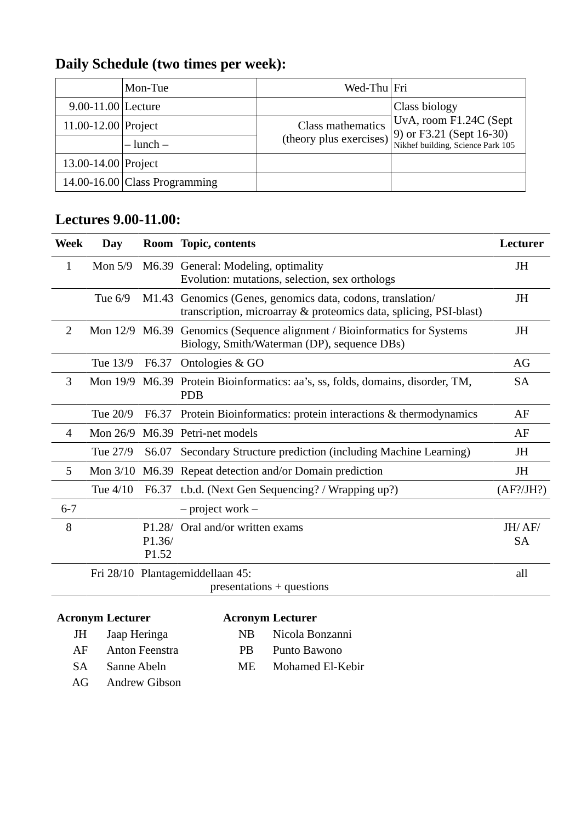## **Daily Schedule (two times per week):**

|                        | Mon-Tue                       | Wed-Thu Fri             |                                                        |
|------------------------|-------------------------------|-------------------------|--------------------------------------------------------|
| $9.00 - 11.00$ Lecture |                               |                         | Class biology                                          |
| 11.00-12.00 Project    |                               | Class mathematics       | UvA, room F1.24C (Sept<br>$ 9$ ) or F3.21 (Sept 16-30) |
|                        | $-\text{lunch}$ –             | (theory plus exercises) | Nikhef building, Science Park 105                      |
| 13.00-14.00 Project    |                               |                         |                                                        |
|                        | 14.00-16.00 Class Programming |                         |                                                        |

#### **Lectures 9.00-11.00:**

| <b>Week</b>    | Day                                                |                 | Room Topic, contents                                                                                                            | Lecturer            |  |
|----------------|----------------------------------------------------|-----------------|---------------------------------------------------------------------------------------------------------------------------------|---------------------|--|
| $\mathbf{1}$   | Mon $5/9$                                          |                 | M6.39 General: Modeling, optimality<br>Evolution: mutations, selection, sex orthologs                                           | <b>JH</b>           |  |
|                | Tue $6/9$                                          |                 | M1.43 Genomics (Genes, genomics data, codons, translation/<br>transcription, microarray & proteomics data, splicing, PSI-blast) | <b>JH</b>           |  |
| $\overline{2}$ |                                                    |                 | Mon 12/9 M6.39 Genomics (Sequence alignment / Bioinformatics for Systems<br>Biology, Smith/Waterman (DP), sequence DBs)         | JH                  |  |
|                | Tue 13/9                                           |                 | F6.37 Ontologies & GO                                                                                                           | AG                  |  |
| 3              |                                                    |                 | Mon 19/9 M6.39 Protein Bioinformatics: aa's, ss, folds, domains, disorder, TM,<br><b>PDB</b>                                    | <b>SA</b>           |  |
|                | Tue 20/9                                           |                 | F6.37 Protein Bioinformatics: protein interactions & thermodynamics                                                             | AF                  |  |
| 4              |                                                    |                 | Mon 26/9 M6.39 Petri-net models                                                                                                 | AF                  |  |
|                | Tue 27/9                                           |                 | S6.07 Secondary Structure prediction (including Machine Learning)                                                               | <b>JH</b>           |  |
| 5              |                                                    |                 | Mon 3/10 M6.39 Repeat detection and/or Domain prediction                                                                        | JH                  |  |
|                | Tue 4/10                                           |                 | F6.37 t.b.d. (Next Gen Sequencing? / Wrapping up?)                                                                              | (AF?JH?)            |  |
| $6 - 7$        |                                                    |                 | $-$ project work $-$                                                                                                            |                     |  |
| 8              |                                                    | P1.36/<br>P1.52 | P1.28/ Oral and/or written exams                                                                                                | JH/AF/<br><b>SA</b> |  |
|                |                                                    |                 | Fri 28/10 Plantagemiddellaan 45:<br>presentations + questions                                                                   | all                 |  |
|                | <b>Acronym Lecturer</b><br><b>Acronym Lecturer</b> |                 |                                                                                                                                 |                     |  |

- 
- JH Jaap Heringa NB Nicola Bonzanni AF Anton Feenstra PB Punto Bawono
- 
- SA Sanne Abeln ME Mohamed El-Kebir
- AG Andrew Gibson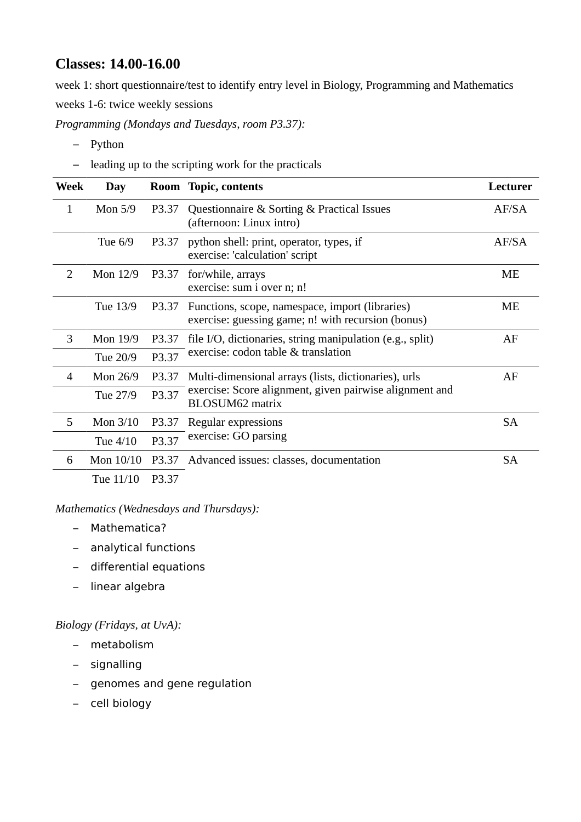### **Classes: 14.00-16.00**

week 1: short questionnaire/test to identify entry level in Biology, Programming and Mathematics weeks 1-6: twice weekly sessions

*Programming (Mondays and Tuesdays, room P3.37):*

- Python
- leading up to the scripting work for the practicals

| <b>Week</b>  | Day        |       | Room Topic, contents                                                                                  | Lecturer  |
|--------------|------------|-------|-------------------------------------------------------------------------------------------------------|-----------|
| $\mathbf{1}$ | Mon $5/9$  | P3.37 | Questionnaire & Sorting & Practical Issues<br>(afternoon: Linux intro)                                | AF/SA     |
|              | Tue $6/9$  | P3.37 | python shell: print, operator, types, if<br>exercise: 'calculation' script                            | AF/SA     |
| 2            | Mon 12/9   | P3.37 | for/while, arrays<br>exercise: sum i over n; n!                                                       | ME        |
|              | Tue 13/9   | P3.37 | Functions, scope, namespace, import (libraries)<br>exercise: guessing game; n! with recursion (bonus) | ME        |
| 3            | Mon 19/9   | P3.37 | file I/O, dictionaries, string manipulation (e.g., split)                                             | AF        |
|              | Tue 20/9   | P3.37 | exercise: codon table & translation                                                                   |           |
| 4            | Mon 26/9   | P3.37 | Multi-dimensional arrays (lists, dictionaries), urls                                                  | AF        |
|              | Tue 27/9   | P3.37 | exercise: Score alignment, given pairwise alignment and<br><b>BLOSUM62</b> matrix                     |           |
| 5            | Mon $3/10$ | P3.37 | Regular expressions                                                                                   | <b>SA</b> |
|              | Tue 4/10   | P3.37 | exercise: GO parsing                                                                                  |           |
| 6            | Mon 10/10  | P3.37 | Advanced issues: classes, documentation                                                               | <b>SA</b> |
|              | Tue 11/10  | P3.37 |                                                                                                       |           |

#### *Mathematics (Wednesdays and Thursdays):*

- Mathematica?
- analytical functions
- differential equations
- linear algebra

*Biology (Fridays, at UvA):*

- metabolism
- signalling
- genomes and gene regulation
- cell biology